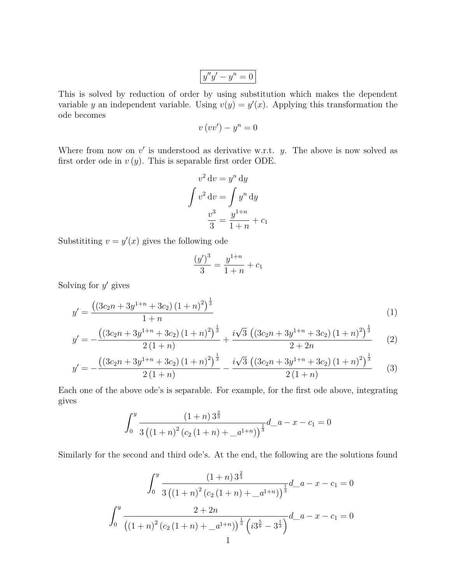$$
y''y'-y^n=0
$$

This is solved by reduction of order by using substitution which makes the dependent variable y an independent variable. Using  $v(y) = y'(x)$ . Applying this transformation the ode becomes

$$
v(vv') - y^n = 0
$$

Where from now on  $v'$  is understood as derivative w.r.t.  $y$ . The above is now solved as first order ode in  $v(y)$ . This is separable first order ODE.

$$
v2 dv = yn dy
$$

$$
\int v2 dv = \int yn dy
$$

$$
\frac{v3}{3} = \frac{y1+n}{1+n} + c1
$$

Substititing  $v = y'(x)$  gives the following ode

$$
\frac{(y')^3}{3} = \frac{y^{1+n}}{1+n} + c_1
$$

Solving for  $y'$  gives

$$
y' = \frac{((3c_2n + 3y^{1+n} + 3c_2)(1+n)^2)^{\frac{1}{3}}}{1+n}
$$
\n(1)

$$
y' = -\frac{((3c_{2}n+3y^{1+n}+3c_{2})(1+n)^{2})^{\frac{1}{3}}}{2(1+n)} + \frac{i\sqrt{3}((3c_{2}n+3y^{1+n}+3c_{2})(1+n)^{2})^{\frac{1}{3}}}{2+2n}
$$
(2)

$$
y' = -\frac{\left(\left(3c_2n + 3y^{1+n} + 3c_2\right)\left(1+n\right)^2\right)^{\frac{1}{3}}}{2\left(1+n\right)} - \frac{i\sqrt{3}\left(\left(3c_2n + 3y^{1+n} + 3c_2\right)\left(1+n\right)^2\right)^{\frac{1}{3}}}{2\left(1+n\right)}\tag{3}
$$

Each one of the above ode's is separable. For example, for the first ode above, integrating gives

$$
\int_0^y \frac{(1+n)\,3^{\frac{2}{3}}}{3\left(\left(1+n\right)^2\left(c_2\left(1+n\right)+\_a^{1+n}\right)\right)^{\frac{1}{3}}}d_a^2 - x - c_1 = 0
$$

Similarly for the second and third ode's. At the end, the following are the solutions found

$$
\int_0^y \frac{\left(1+n\right)3^{\frac{2}{3}}}{3\left(\left(1+n\right)^2\left(c_2\left(1+n\right)+\frac{a^{1+n}}{3}\right)\right)^{\frac{1}{3}}}d_a - x - c_1 = 0
$$

$$
\int_0^y \frac{2+2n}{\left(\left(1+n\right)^2\left(c_2\left(1+n\right)+\frac{a^{1+n}}{3}\right)\right)^{\frac{1}{3}}\left(i3^{\frac{5}{6}}-3^{\frac{1}{3}}\right)}d_a - x - c_1 = 0
$$
1